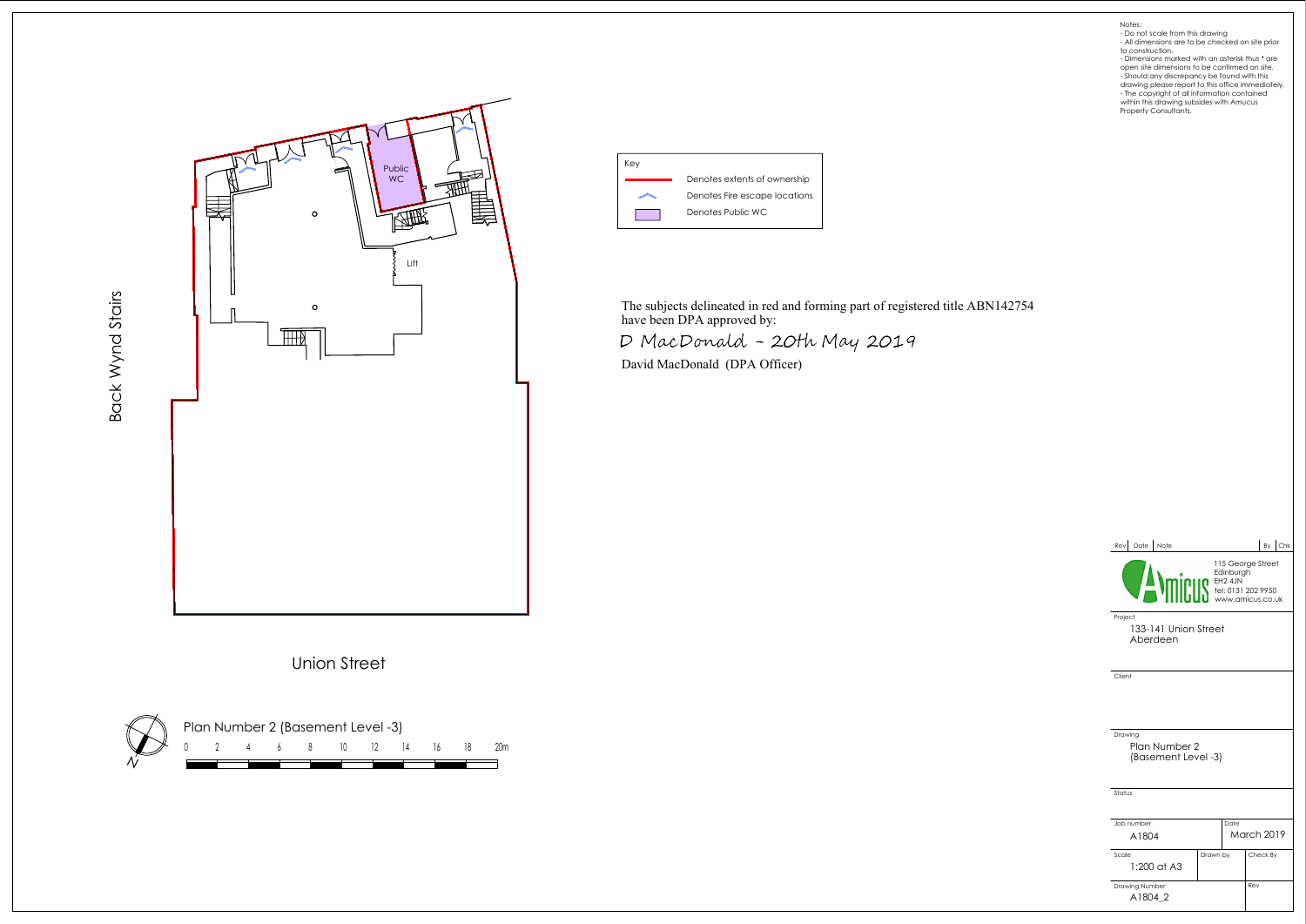





### Notes:

- Do not scale from this drawing All dimensions are to be checked on site prior to construction. Dimensions marked with an asterisk thus \* are
- open site dimensions to be confirmed on site.
- Should any discrepancy be found with this
- drawing please report to this office immediately. The copyright of all information contained within this drawing subsides with Amucus Property Consultants.



| Date<br>Note<br>Revl                            |                                                                                                                                                                                                                                                          |      |                   |  | By Chk |  |  |
|-------------------------------------------------|----------------------------------------------------------------------------------------------------------------------------------------------------------------------------------------------------------------------------------------------------------|------|-------------------|--|--------|--|--|
|                                                 | 115 George Street<br>Edinburg<br><b>Minimage Star Advise Server Star Server Star Server Server Star Server Server Server Server Server Server Server</b><br>Minimage Server Server Server Server Server Server Server Server Server Server Server Server |      |                   |  |        |  |  |
| Project<br>133-141 Union Street<br>Aberdeen     |                                                                                                                                                                                                                                                          |      |                   |  |        |  |  |
| Client                                          |                                                                                                                                                                                                                                                          |      |                   |  |        |  |  |
|                                                 |                                                                                                                                                                                                                                                          |      |                   |  |        |  |  |
|                                                 |                                                                                                                                                                                                                                                          |      |                   |  |        |  |  |
| Drawing<br>Plan Number 2<br>(Basement Level -3) |                                                                                                                                                                                                                                                          |      |                   |  |        |  |  |
| Status                                          |                                                                                                                                                                                                                                                          |      |                   |  |        |  |  |
| Job number                                      |                                                                                                                                                                                                                                                          | Date |                   |  |        |  |  |
| A1804                                           |                                                                                                                                                                                                                                                          |      | <b>March 2019</b> |  |        |  |  |
| Scale<br>$1:200$ at A3                          | Drawn by                                                                                                                                                                                                                                                 |      | Check By          |  |        |  |  |
| Drawing Number<br>A1804 2                       |                                                                                                                                                                                                                                                          |      | Rev               |  |        |  |  |

The subjects delineated in red and forming part of registered title ABN142754 have been DPA approved by:

D MacDonald - 20th May 2019

David MacDonald (DPA Officer)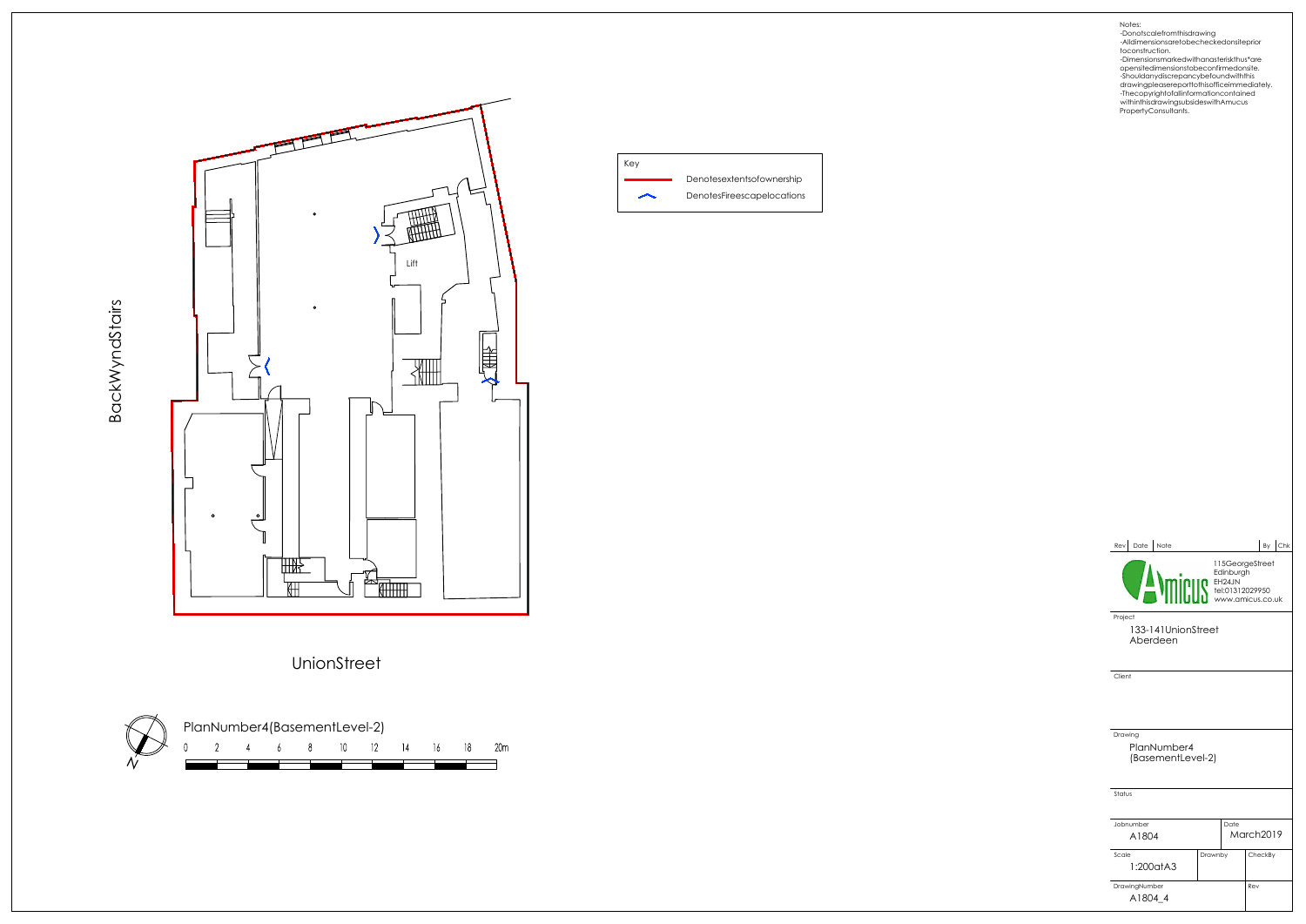



## UnionStreet



Key Denotesextentsofownership DenotesFireescapelocations  $\overline{\phantom{1}}$ 

opensitedimensionstobeconfirmedonsite. -Shouldanydiscrepancybefoundwiththis

| Date Note<br>Rev                            |                                                                                                                                                                                                                                                  |      |           | By | $ $ Chk |  |  |
|---------------------------------------------|--------------------------------------------------------------------------------------------------------------------------------------------------------------------------------------------------------------------------------------------------|------|-----------|----|---------|--|--|
|                                             | 115GeorgeStreet<br>FEDERALLY ENGINEERS EN ENGINEERS ON THE PAID PROPERTY OF THE PAID PROPERTY OF THE PAID PROPERTY OF THE PAID PROPERTY OF THE PAID PROPERTY OF THE PAID PROPERTY OF THE PAID PROPERTY OF THE PAID PROPERTY OF THE PAID PROPERTY |      |           |    |         |  |  |
| Project<br>133-141UnionStreet<br>Aberdeen   |                                                                                                                                                                                                                                                  |      |           |    |         |  |  |
| Client                                      |                                                                                                                                                                                                                                                  |      |           |    |         |  |  |
| Drawing<br>PlanNumber4<br>(BasementLevel-2) |                                                                                                                                                                                                                                                  |      |           |    |         |  |  |
| Status                                      |                                                                                                                                                                                                                                                  |      |           |    |         |  |  |
| Jobnumber                                   |                                                                                                                                                                                                                                                  | Date |           |    |         |  |  |
| A1804                                       |                                                                                                                                                                                                                                                  |      | March2019 |    |         |  |  |
| Scale<br>1:200atA3                          | Drawnby                                                                                                                                                                                                                                          |      | CheckBy   |    |         |  |  |
| DrawingNumber                               | Rev                                                                                                                                                                                                                                              |      |           |    |         |  |  |
| A1804 4                                     |                                                                                                                                                                                                                                                  |      |           |    |         |  |  |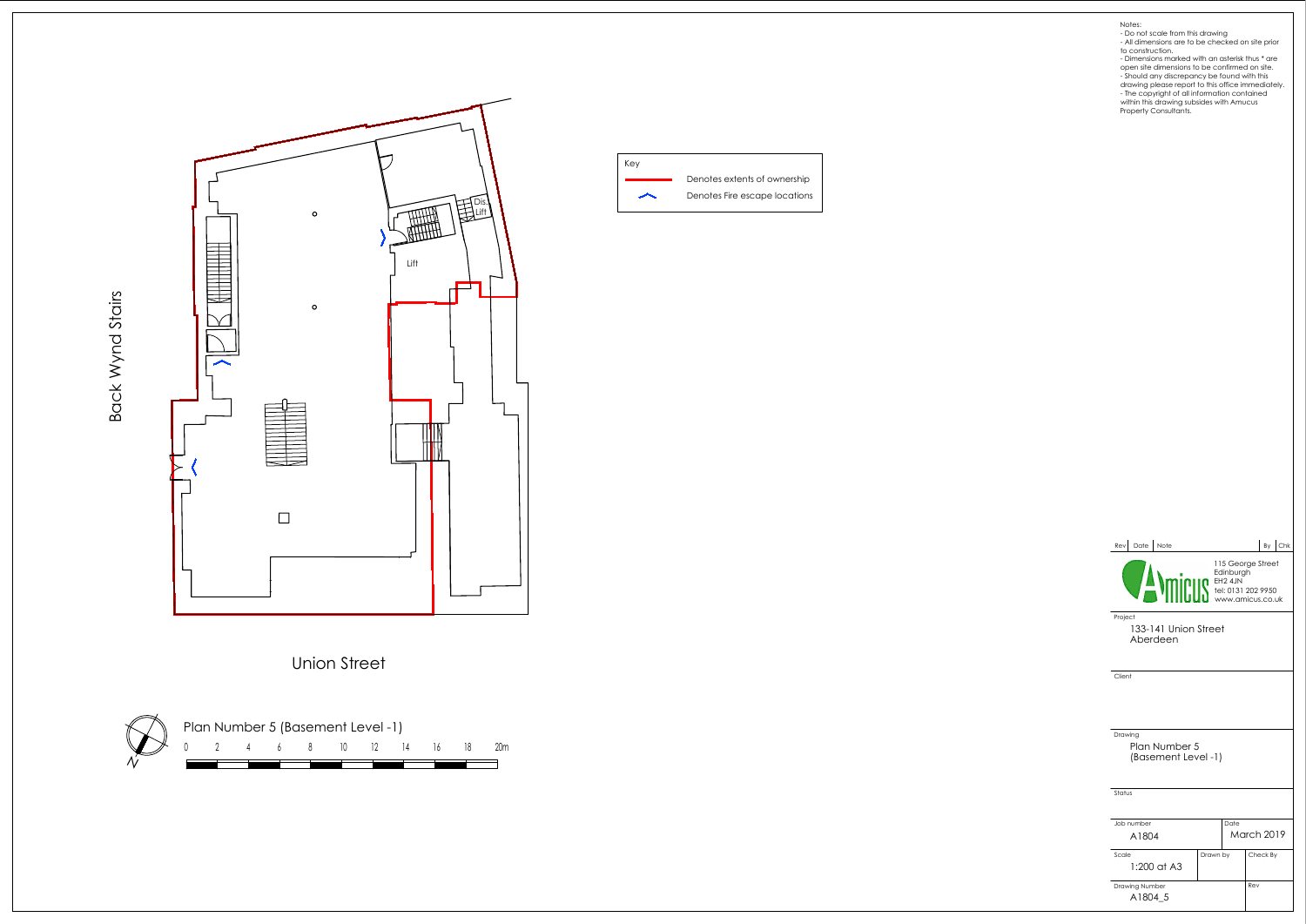





- 
- 
- 
- Notes:<br>
 Do not scale from this drawing<br>
 All dimensions are to be checked on site prior<br>
 do construction.<br>
 Dimensions marked with an asterisk thus \* are<br>
open site dimensions to be confirmed on site.<br>
 Should any d



| Date<br>Note<br>Rev                                                    |          |                   |                   | By | <b>Chk</b> |
|------------------------------------------------------------------------|----------|-------------------|-------------------|----|------------|
| Edmu <sub>s</sub><br>FH2 4JN<br>Tel: 0131 202 9950<br>www.amicus.co.uk |          | 115 George Street |                   |    |            |
| Project<br>133-141 Union Street<br>Aberdeen                            |          |                   |                   |    |            |
| Client                                                                 |          |                   |                   |    |            |
|                                                                        |          |                   |                   |    |            |
|                                                                        |          |                   |                   |    |            |
| Drawing<br>Plan Number 5<br>(Basement Level -1)                        |          |                   |                   |    |            |
|                                                                        |          |                   |                   |    |            |
| Status                                                                 |          |                   |                   |    |            |
| Job number                                                             |          | Date              |                   |    |            |
| A1804                                                                  |          |                   | <b>March 2019</b> |    |            |
| Scale<br>1:200 at A3                                                   | Drawn by |                   | Check By          |    |            |
| Drawing Number                                                         |          |                   | Rev               |    |            |
| A1804 5                                                                |          |                   |                   |    |            |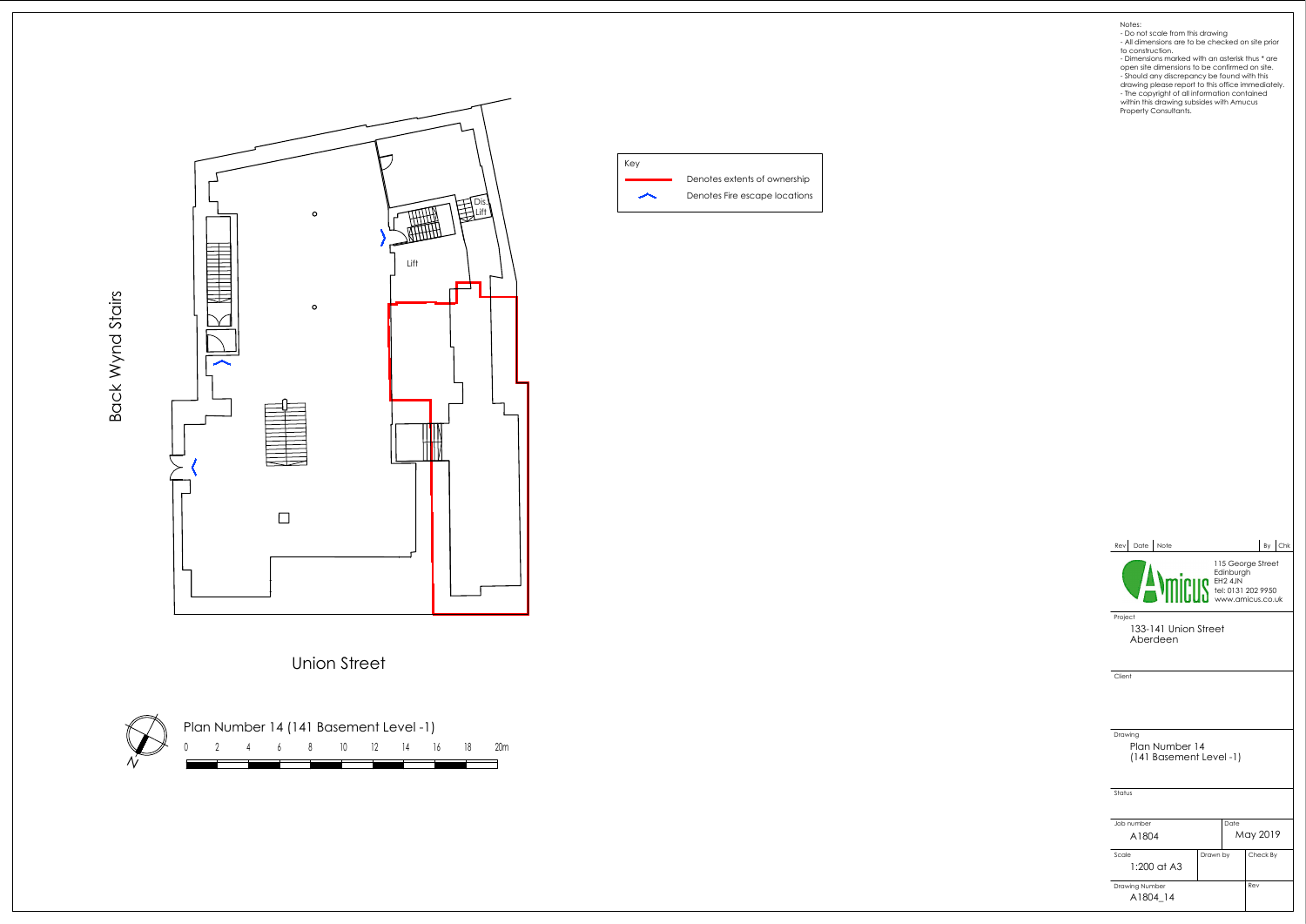





- 
- Notes:<br>
 Do not scale from this drawing<br>
 All dimensions are to be checked on site prior<br>
 do construction.<br>
 Dimensions marked with an asterisk thus \* are<br>
open site dimensions to be confirmed on site.<br>
 Should any d

| Date Note<br>Rev                                      |          |                   |          | By | $ $ Chk |  |
|-------------------------------------------------------|----------|-------------------|----------|----|---------|--|
| EQIN DESCRIPTION DESCRIPTION DESCRIPTION OF THE 2 4JN |          | 115 George Street |          |    |         |  |
| Project<br>133-141 Union Street<br>Aberdeen           |          |                   |          |    |         |  |
| Client                                                |          |                   |          |    |         |  |
| Drawing<br>Plan Number 14<br>(141 Basement Level -1)  |          |                   |          |    |         |  |
| Status                                                |          |                   |          |    |         |  |
|                                                       |          |                   |          |    |         |  |
| Job number                                            |          | Date              |          |    |         |  |
| A1804                                                 |          |                   | May 2019 |    |         |  |
| Scale                                                 | Drawn by |                   | Check By |    |         |  |
| 1:200 at A3                                           |          |                   |          |    |         |  |
| Drawing Number                                        |          |                   | Rev      |    |         |  |
| A1804 14                                              |          |                   |          |    |         |  |

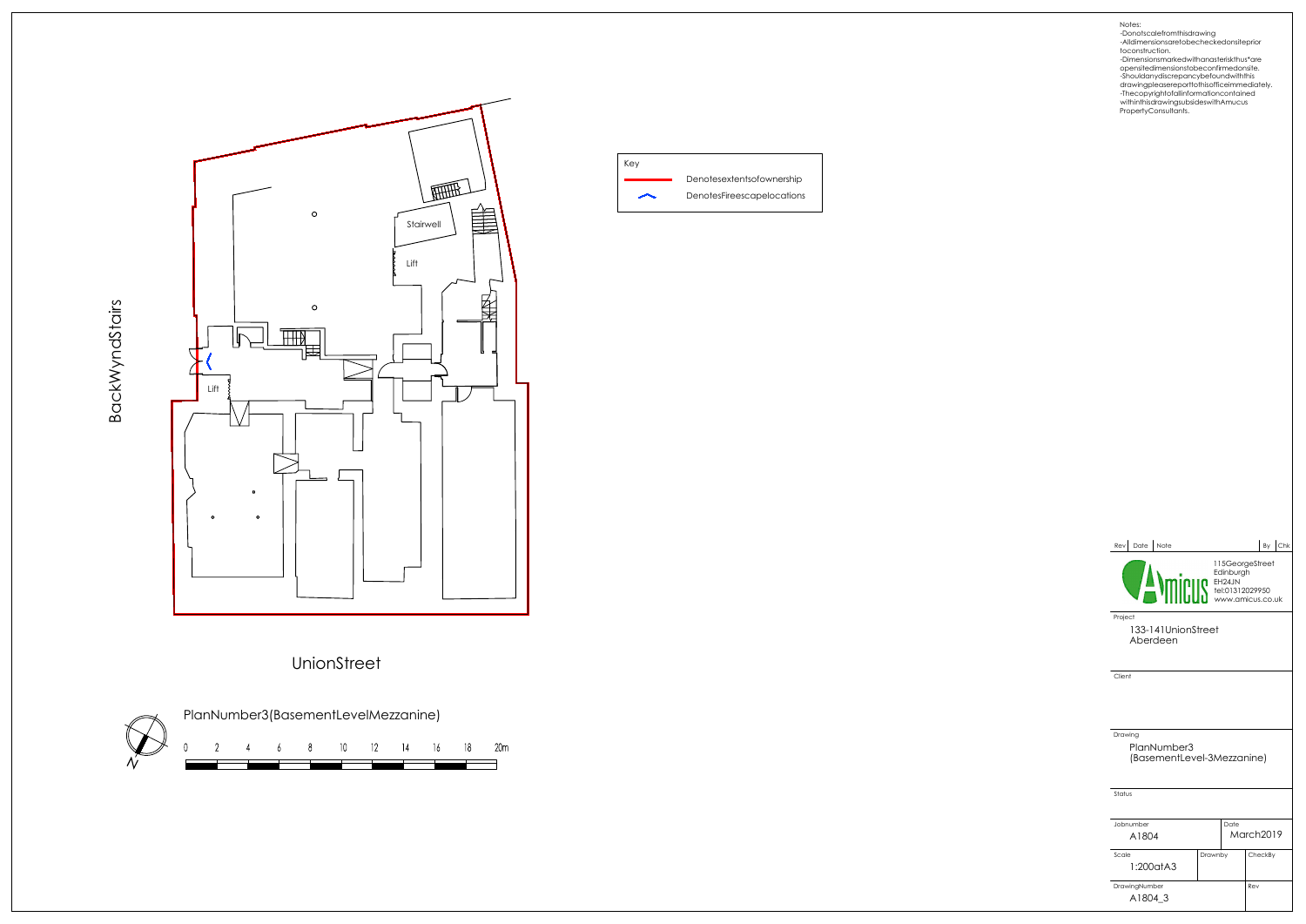





Notes: -Donotscalefromthisdrawing -Alldimensionsaretobecheckedonsiteprior toconstruction.

| Date<br>Note<br>Rev                                  |         |                 |           | By | Chk |
|------------------------------------------------------|---------|-----------------|-----------|----|-----|
| EGITING ENGLAND ENGLAND                              |         | 115GeorgeStreet |           |    |     |
| Project<br>133-141UnionStreet<br>Aberdeen            |         |                 |           |    |     |
| Client                                               |         |                 |           |    |     |
| Drawing<br>PlanNumber3<br>(BasementLevel-3Mezzanine) |         |                 |           |    |     |
| Status                                               |         |                 |           |    |     |
| Jobnumber<br>A1804                                   |         | Date            | March2019 |    |     |
| Scale<br>1:200atA3                                   | Drawnby |                 | CheckBy   |    |     |
| DrawingNumber<br>A1804 3                             |         |                 | Rev       |    |     |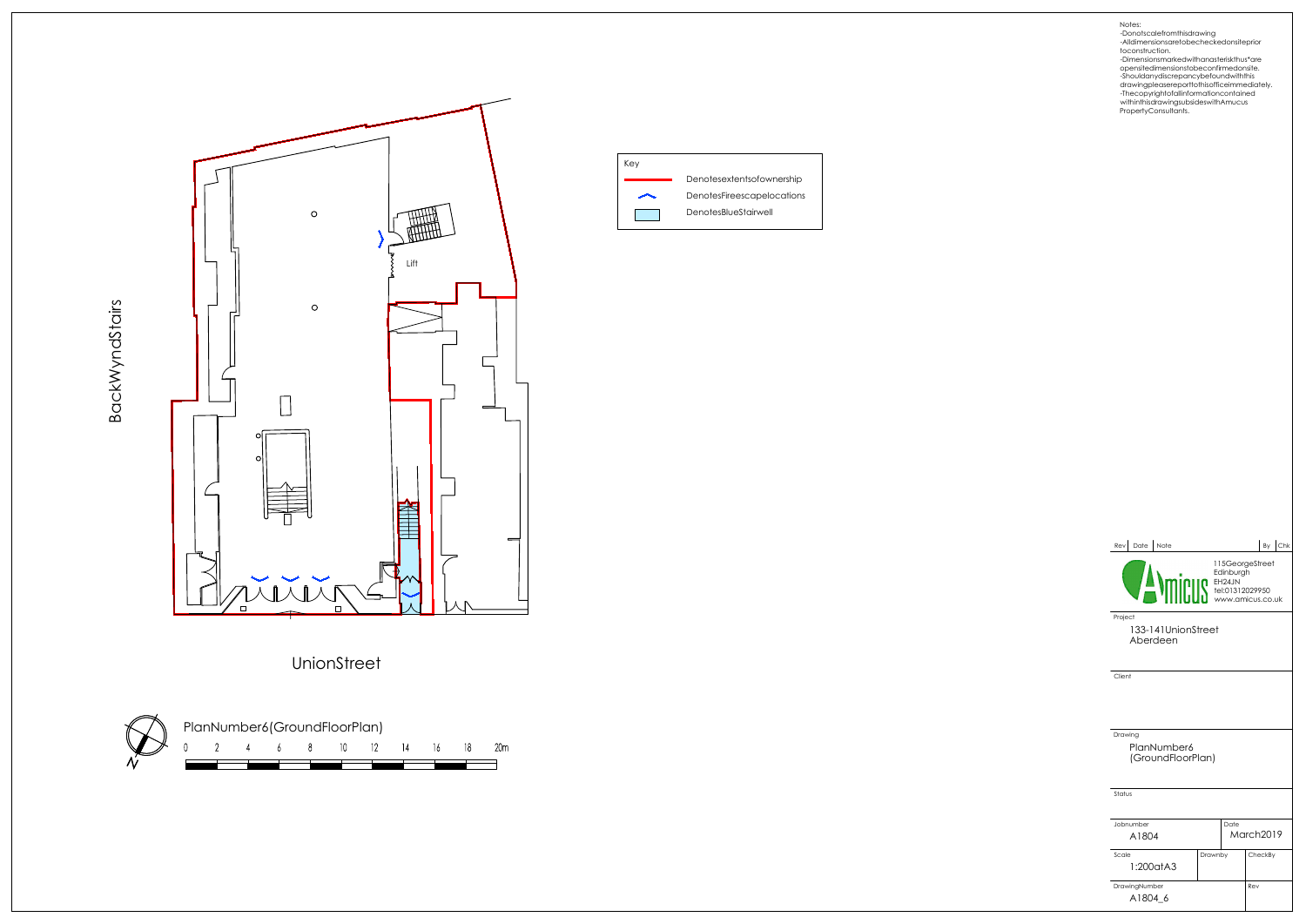



Key Denotesextentsofownership DenotesFireescapelocations  $\overline{\phantom{1}}$ DenotesBlueStairwell

UnionStreet

BackWyndStairs

opensitedimensionstobeconfirmedonsite. -Shouldanydiscrepancybefoundwiththis

| Date Note<br>Rev                            |                                                                                  |      |           | By | $ $ Chk |  |  |
|---------------------------------------------|----------------------------------------------------------------------------------|------|-----------|----|---------|--|--|
|                                             | 115GeorgeStreet<br><b>MINIBER SECTION</b><br>TEL:01312029950<br>WWW.amicus.co.uk |      |           |    |         |  |  |
| Project<br>133-141UnionStreet<br>Aberdeen   |                                                                                  |      |           |    |         |  |  |
| Client                                      |                                                                                  |      |           |    |         |  |  |
| Drawing<br>PlanNumber6<br>(GroundFloorPlan) |                                                                                  |      |           |    |         |  |  |
| Status                                      |                                                                                  |      |           |    |         |  |  |
| Jobnumber<br>A1804                          |                                                                                  | Date | March2019 |    |         |  |  |
| Scale<br>1:200atA3                          | Drawnby                                                                          |      | CheckBy   |    |         |  |  |
| DrawingNumber<br>A1804 6                    |                                                                                  |      | Rev       |    |         |  |  |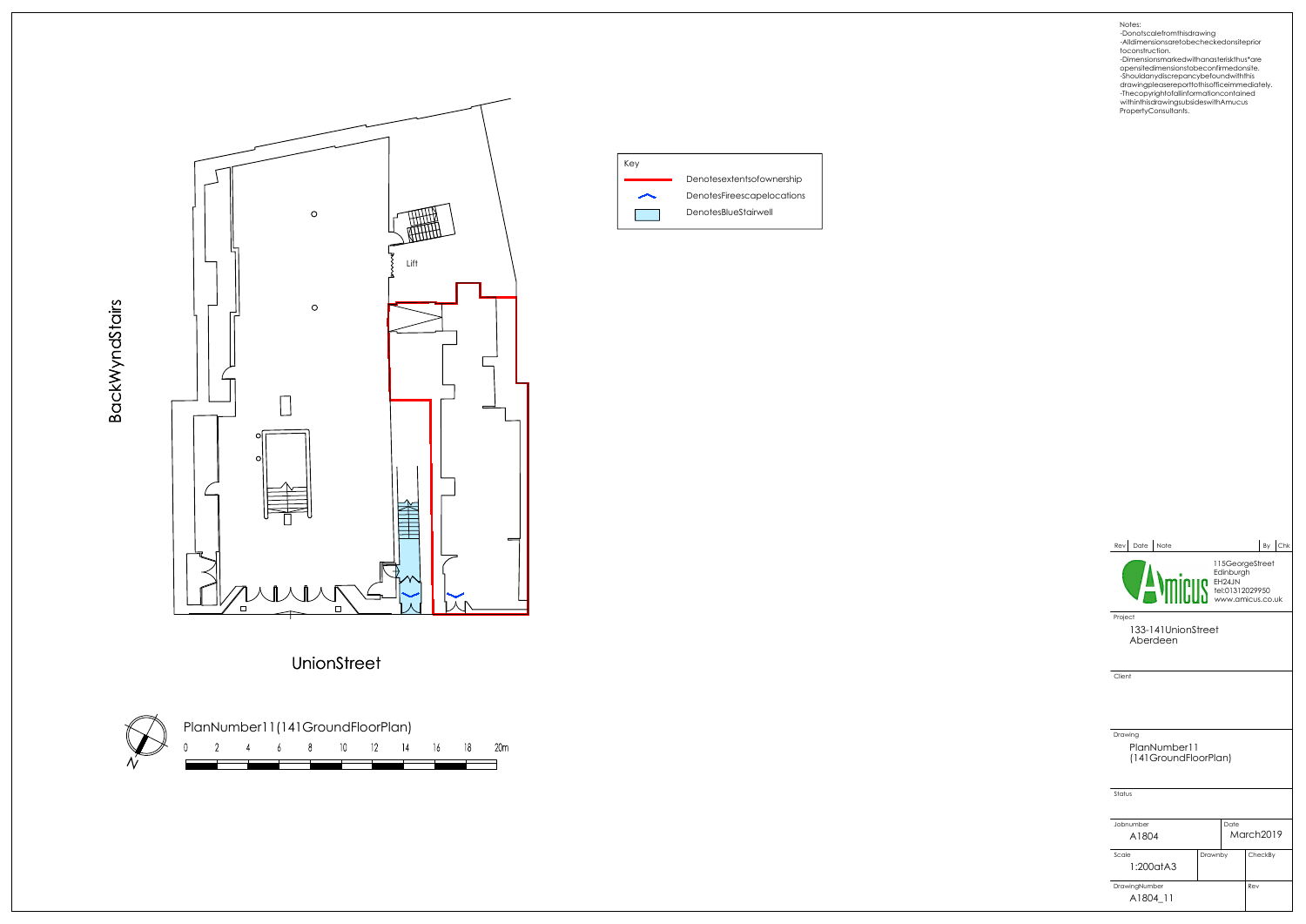

UnionStreet

BackWyndStairs



Key Denotesextentsofownership DenotesFireescapelocations  $\overline{\phantom{1}}$ DenotesBlueStairwell

opensitedimensionstobeconfirmedonsite. -Shouldanydiscrepancybefoundwiththis

| Date<br>Note<br>Rev                       |                                                                                            |                 |           | By | l Chk |
|-------------------------------------------|--------------------------------------------------------------------------------------------|-----------------|-----------|----|-------|
|                                           | EH24JN<br>TEH24JN<br>TEH24JN<br>TEH24JN<br>WHW.amicus.co.uk<br>TEH24JN<br>WWW.amicus.co.uk | 115GeorgeStreet |           |    |       |
| Project<br>133-141UnionStreet<br>Aberdeen |                                                                                            |                 |           |    |       |
| Client                                    |                                                                                            |                 |           |    |       |
|                                           |                                                                                            |                 |           |    |       |
| Drawing<br>PlanNumber11                   |                                                                                            |                 |           |    |       |
| (141GroundFloorPlan)                      |                                                                                            |                 |           |    |       |
| Status                                    |                                                                                            |                 |           |    |       |
| Jobnumber                                 |                                                                                            | Date            |           |    |       |
| A1804                                     |                                                                                            |                 | March2019 |    |       |
| Scale<br>1:200atA3                        | Drawnby                                                                                    |                 | CheckBy   |    |       |
| DrawingNumber                             |                                                                                            |                 | Rev       |    |       |
| A1804 11                                  |                                                                                            |                 |           |    |       |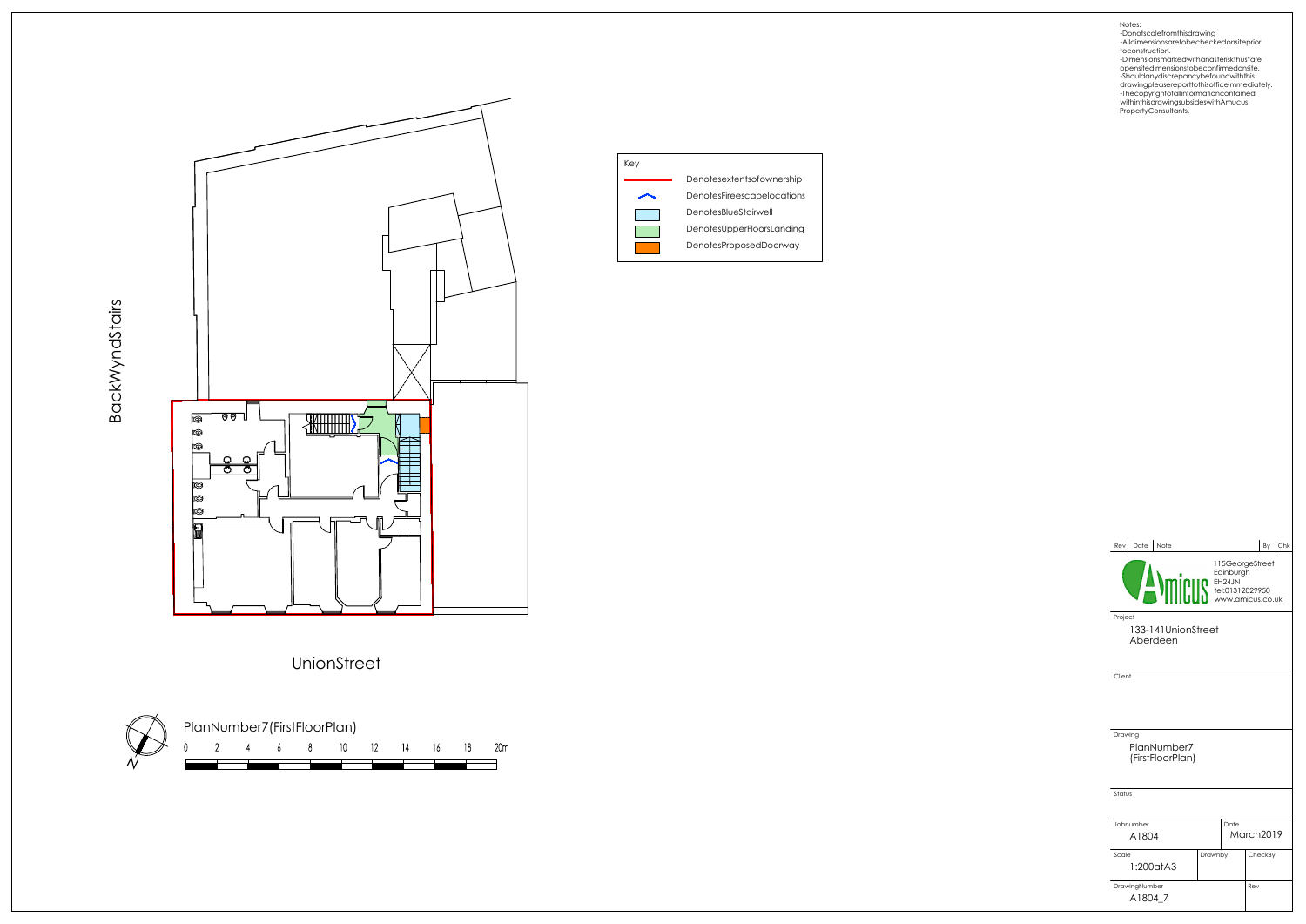



PlanNumber7(FirstFloorPlan) 6 8 10 12 14 16 18 20m  $\cap$  $\overline{2}$  $\overline{4}$ 

Notes:<br>-Donotscalefromthisdrawing<br>-Alldimensionsaretobecheckedonsiteprior<br>-bimensionsmarkedwithanasteriskthus\*are<br>-Dimensionsmarkedwithanasteriskthus\*are

BackWyndStairs



opensitedimensionstobeconfirmedonsite. -Shouldanydiscrepancybefoundwiththis

| Date Note<br>Rev                           |         |                 |           | By Chk |
|--------------------------------------------|---------|-----------------|-----------|--------|
|                                            |         | 115GeorgeStreet |           |        |
| Project<br>133-141UnionStreet<br>Aberdeen  |         |                 |           |        |
| Client                                     |         |                 |           |        |
|                                            |         |                 |           |        |
| Drawing<br>PlanNumber7<br>(FirstFloorPlan) |         |                 |           |        |
| Status                                     |         |                 |           |        |
| Jobnumber<br>A1804                         |         | Date            | March2019 |        |
| Scale<br>1:200atA3                         | Drawnby |                 | CheckBy   |        |
| DrawingNumber<br>A1804 7                   |         |                 | Rev       |        |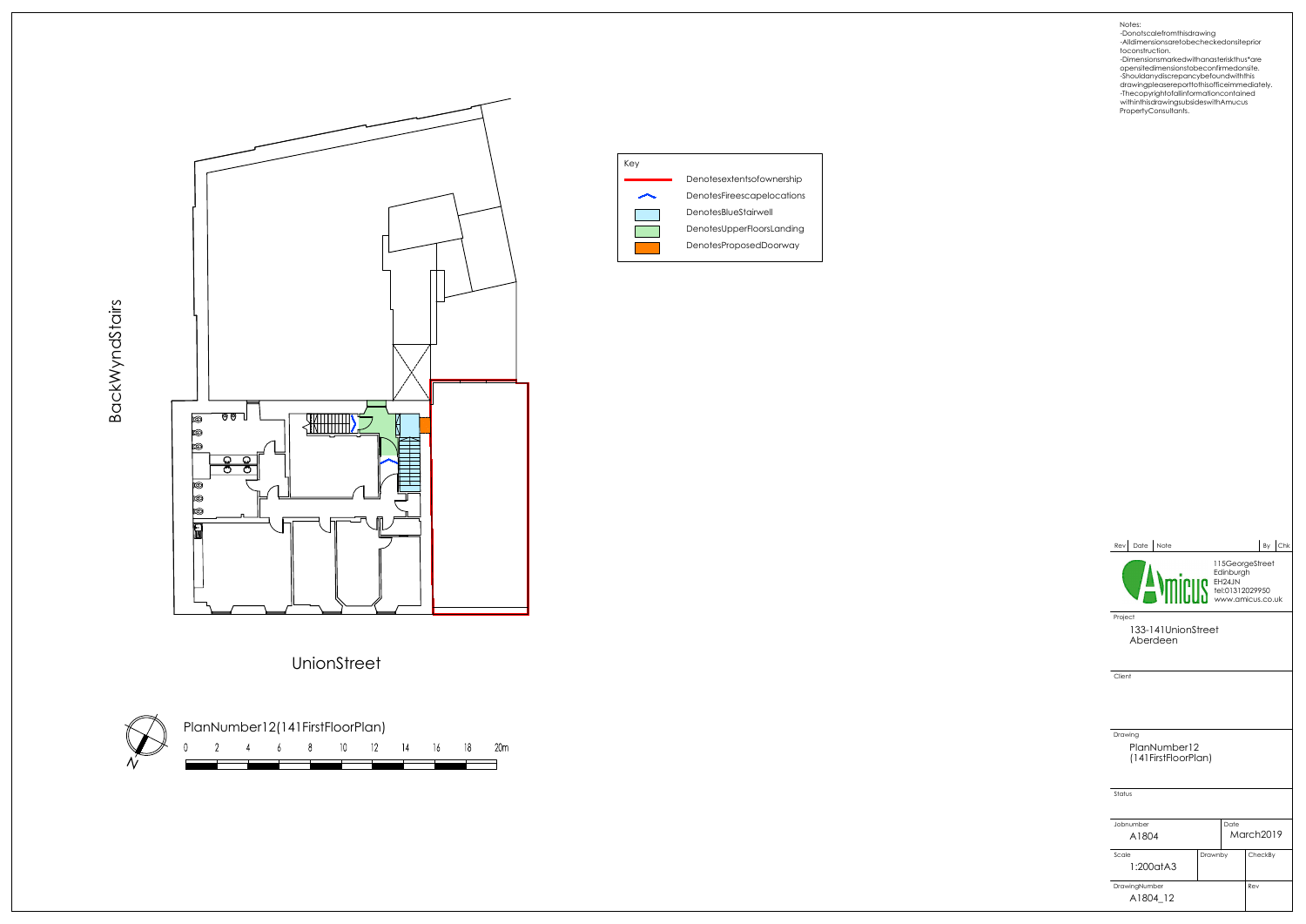



UnionStreet

BackWyndStairs



opensitedimensionstobeconfirmedonsite. -Shouldanydiscrepancybefoundwiththis

| Date Note<br>Rev                          |                                                                                                                                                                                                                                                   |      |         | By | $ $ Chk |  |  |  |
|-------------------------------------------|---------------------------------------------------------------------------------------------------------------------------------------------------------------------------------------------------------------------------------------------------|------|---------|----|---------|--|--|--|
|                                           | 115GeorgeStreet<br>FEDERALLY ENGINEERS ENGINEERS ON THE PROPERTY OF THE PAIR CONTROL OF THE PAIR CONTROL OF THE PAIR CONTROL OF THE PAIR CONTROL OF THE PAIR CONTROL OF THE PAIR CONTROL OF THE PAIR CONTROL OF THE PAIR CONTROL OF THE PAIR CONT |      |         |    |         |  |  |  |
| Project<br>133-141UnionStreet<br>Aberdeen |                                                                                                                                                                                                                                                   |      |         |    |         |  |  |  |
| Client                                    |                                                                                                                                                                                                                                                   |      |         |    |         |  |  |  |
| Drawing<br>PlanNumber12                   |                                                                                                                                                                                                                                                   |      |         |    |         |  |  |  |
| (141 First Floor Plan)                    |                                                                                                                                                                                                                                                   |      |         |    |         |  |  |  |
| Status                                    |                                                                                                                                                                                                                                                   |      |         |    |         |  |  |  |
| Jobnumber                                 |                                                                                                                                                                                                                                                   | Date |         |    |         |  |  |  |
| A1804                                     | March2019                                                                                                                                                                                                                                         |      |         |    |         |  |  |  |
| Scale<br>1:200atA3                        | Drawnby                                                                                                                                                                                                                                           |      | CheckBy |    |         |  |  |  |
| DrawingNumber<br>A1804 12                 | Rev                                                                                                                                                                                                                                               |      |         |    |         |  |  |  |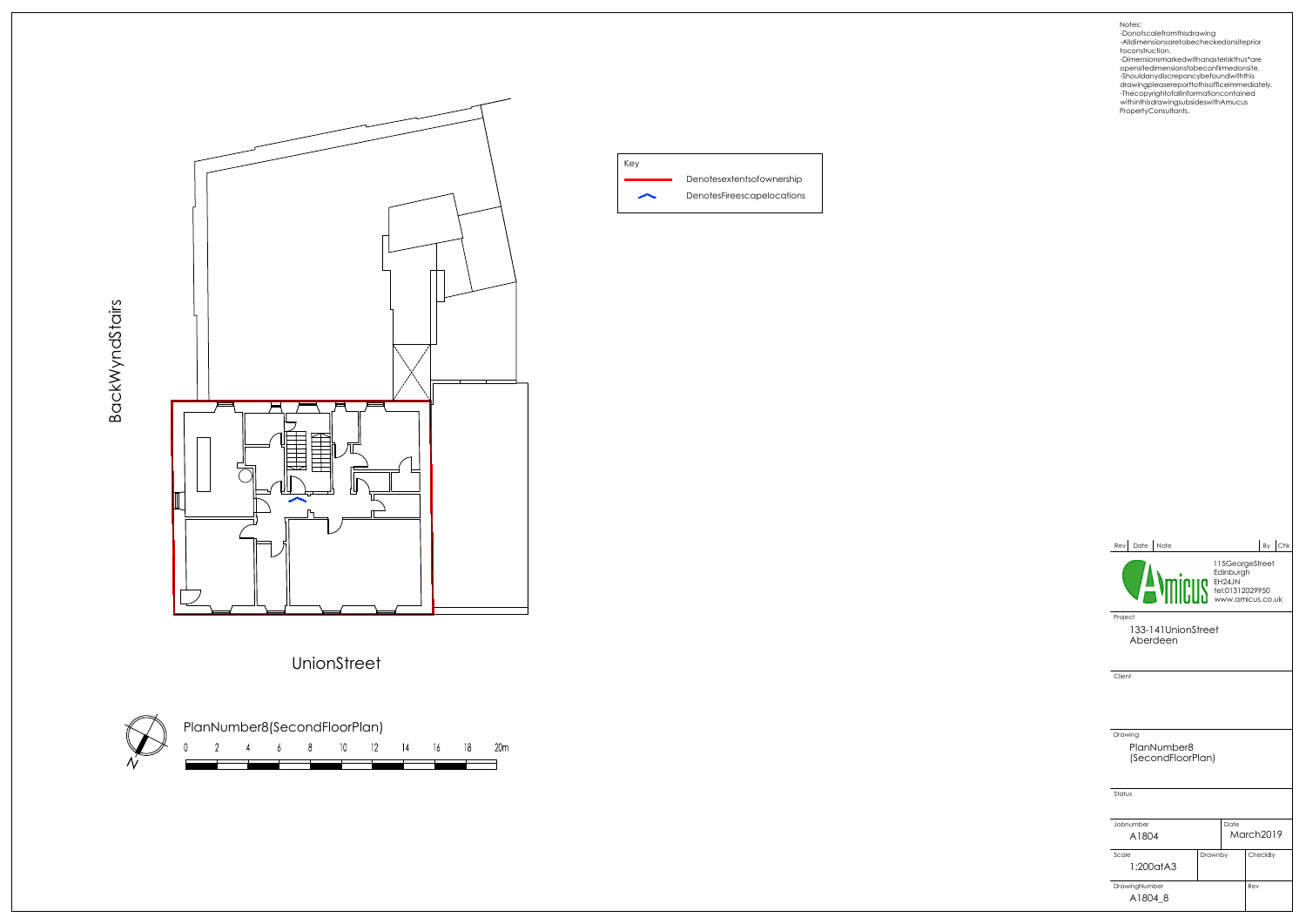



BackWyndStairs



Notes: -Donotscalefromthisdrawing -Alldimensionsaretobecheckedonsiteprior toconstruction.

| Date Note<br>Rev                            |                                                                                  |      |           | By | $ $ Chk |  |  |
|---------------------------------------------|----------------------------------------------------------------------------------|------|-----------|----|---------|--|--|
|                                             | 115GeorgeStreet<br><b>MINIBER SECTION</b><br>TEL:01312029950<br>WWW.amicus.co.uk |      |           |    |         |  |  |
| Project<br>133-141UnionStreet<br>Aberdeen   |                                                                                  |      |           |    |         |  |  |
| Client                                      |                                                                                  |      |           |    |         |  |  |
| Drawing<br>PlanNumber8<br>(SecondFloorPlan) |                                                                                  |      |           |    |         |  |  |
| Status                                      |                                                                                  |      |           |    |         |  |  |
| Jobnumber                                   |                                                                                  | Date |           |    |         |  |  |
| A1804                                       |                                                                                  |      | March2019 |    |         |  |  |
| Scale<br>1:200atA3                          | Drawnby                                                                          |      | CheckBy   |    |         |  |  |
| DrawingNumber<br>A18048                     |                                                                                  |      | Rev       |    |         |  |  |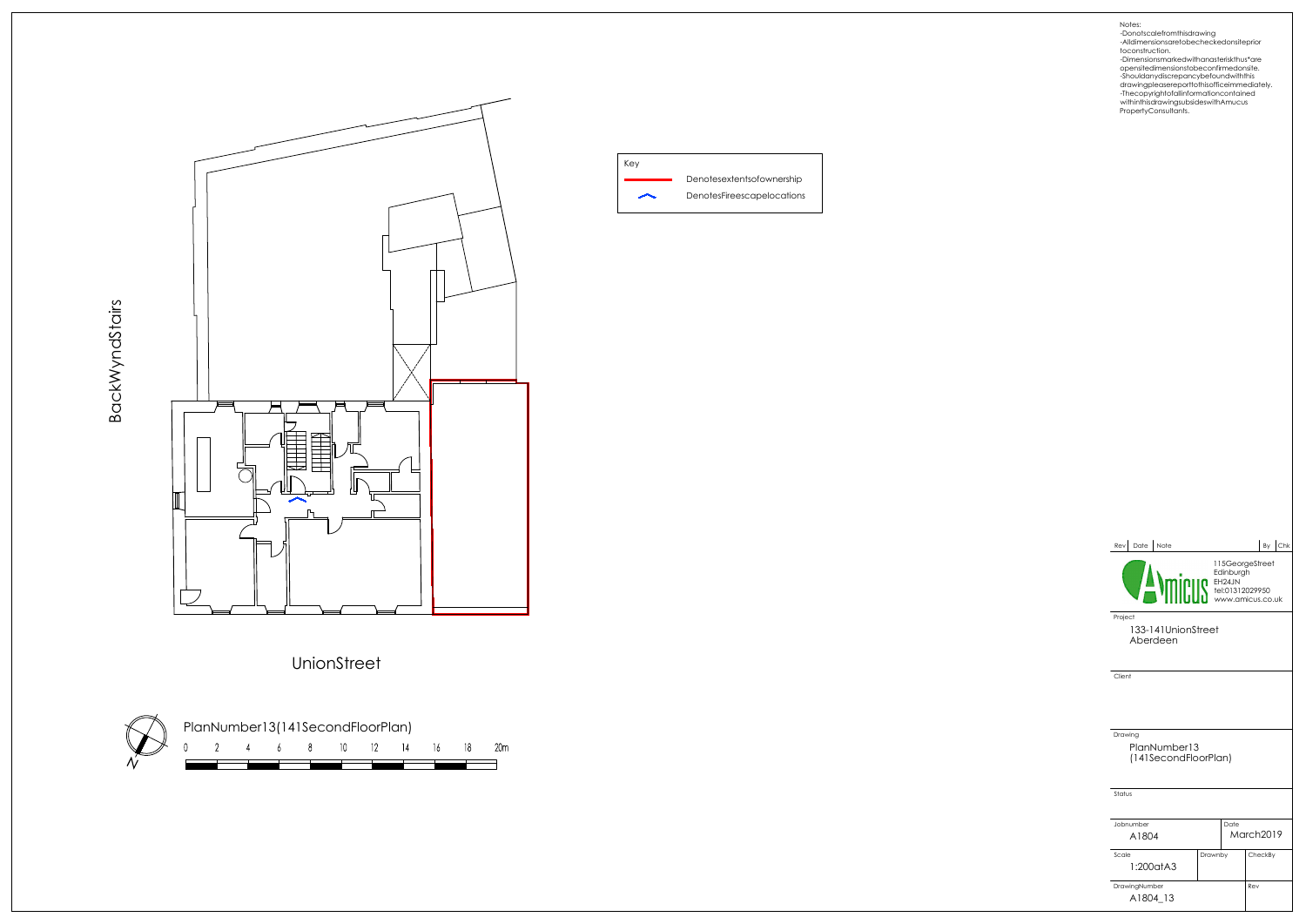

Key Denotesextentsofownership DenotesFireescapelocations  $\overline{\phantom{1}}$ 

UnionStreet

BackWyndStairs



opensitedimensionstobeconfirmedonsite. -Shouldanydiscrepancybefoundwiththis

| Date<br>Note<br>Rev                             |                                                      |                              |           | By | $ $ Chk |  |
|-------------------------------------------------|------------------------------------------------------|------------------------------|-----------|----|---------|--|
|                                                 | <b>EH24JN</b><br>Tel:01312029950<br>www.amicus.co.uk | 115GeorgeStreet<br>Edinburgh |           |    |         |  |
| Project<br>133-141UnionStreet<br>Aberdeen       |                                                      |                              |           |    |         |  |
| Client                                          |                                                      |                              |           |    |         |  |
| Drawing<br>PlanNumber13<br>(141SecondFloorPlan) |                                                      |                              |           |    |         |  |
| Status                                          |                                                      |                              |           |    |         |  |
| Jobnumber<br>A1804                              |                                                      | Date                         | March2019 |    |         |  |
| Scale<br>1:200atA3                              | Drawnby                                              |                              | CheckBy   |    |         |  |
| DrawingNumber<br>A1804 13                       |                                                      |                              | Rev       |    |         |  |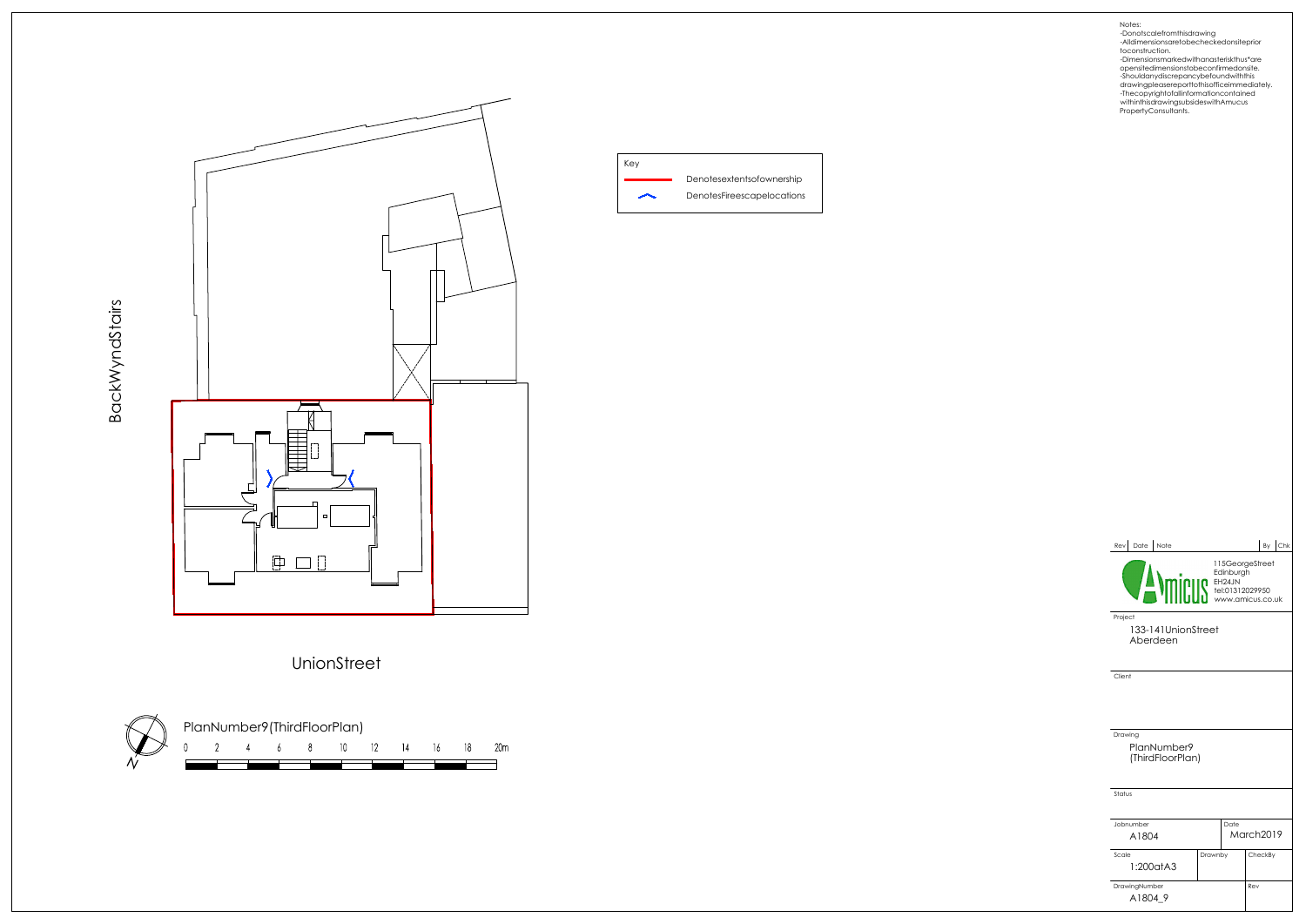

BackWyndStairs





Notes: -Donotscalefromthisdrawing -Alldimensionsaretobecheckedonsiteprior toconstruction.

| Date<br>Note<br>Rev                                              |         |                 |           | By | $ $ Chk |  |
|------------------------------------------------------------------|---------|-----------------|-----------|----|---------|--|
| <b>MINISTER</b><br>EH24JN<br>Hel:01312029950<br>www.amicus.co.uk |         | 115GeorgeStreet |           |    |         |  |
| Project<br>133-141UnionStreet<br>Aberdeen                        |         |                 |           |    |         |  |
| Client                                                           |         |                 |           |    |         |  |
|                                                                  |         |                 |           |    |         |  |
|                                                                  |         |                 |           |    |         |  |
| Drawing<br>PlanNumber9<br>(ThirdFloorPlan)                       |         |                 |           |    |         |  |
| Status                                                           |         |                 |           |    |         |  |
|                                                                  |         |                 |           |    |         |  |
| Jobnumber<br>A1804                                               |         | Date            | March2019 |    |         |  |
|                                                                  |         |                 |           |    |         |  |
| Scale<br>1:200atA3                                               | Drawnby |                 | CheckBy   |    |         |  |
| DrawingNumber                                                    | Rev     |                 |           |    |         |  |
| A1804 9                                                          |         |                 |           |    |         |  |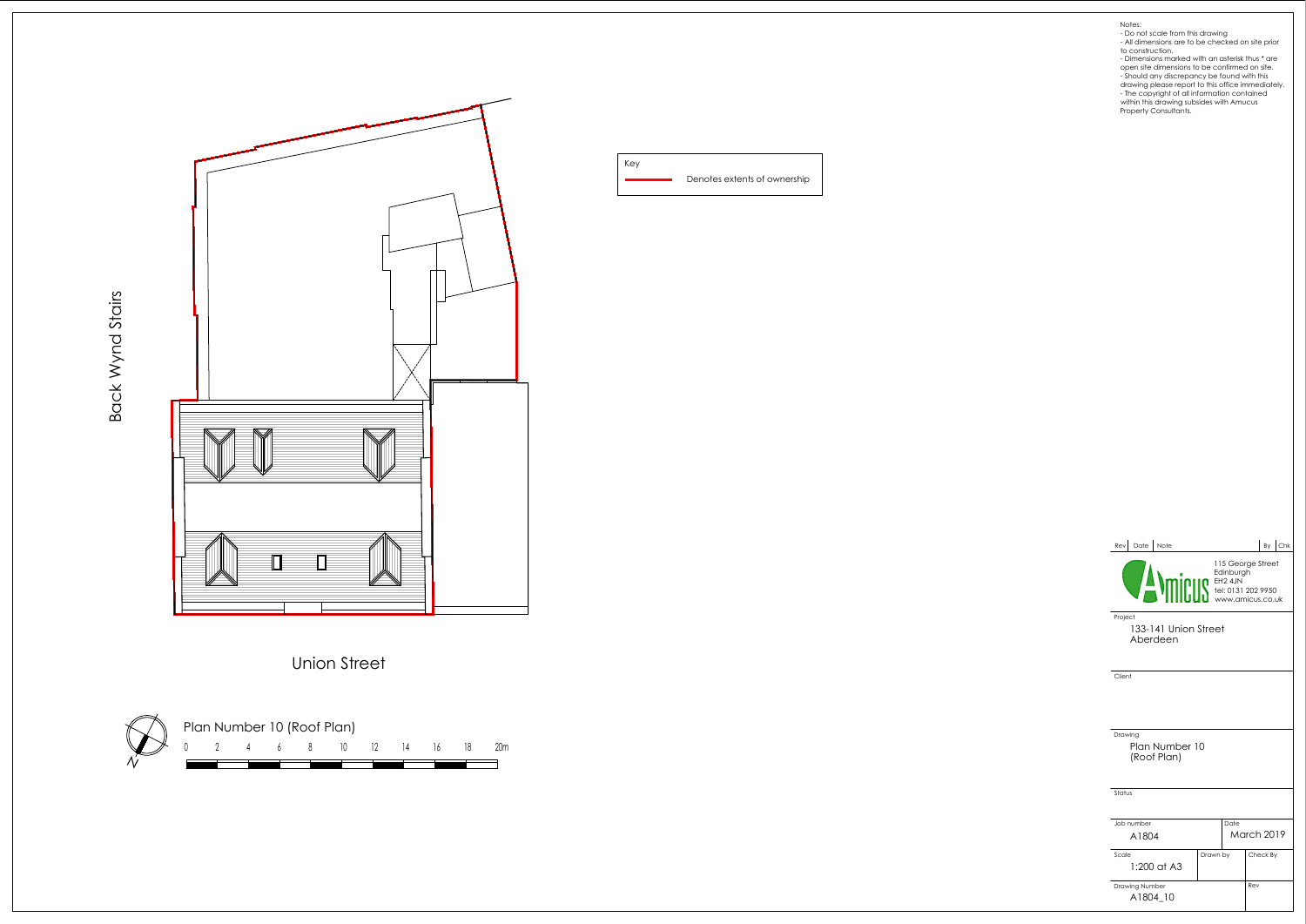Denotes extents of ownership Key

Back Wynd Stairs



Union Street

Plan Number 10 (Roof Plan) 0 2 4 6 8 10 12 14 16 18 20m  $\dot{\mathcal{N}}$ 

- 
- 
- 
- Notes:<br>
 Do not scale from this drawing<br>
 All dimensions are to be checked on site prior<br>
 do construction.<br>
 Dimensions marked with an asterisk thus \* are<br>
open site dimensions to be confirmed on site.<br>
 Should any d

| Date<br>Note<br>Rev l                       |                                                                                    |      |                   |  |  |  |
|---------------------------------------------|------------------------------------------------------------------------------------|------|-------------------|--|--|--|
|                                             | 115 George Street<br>Edinburg.<br>THE 4JN<br>THE 0131 202 9950<br>WWW.amicus.co.uk |      |                   |  |  |  |
| Project<br>133-141 Union Street<br>Aberdeen |                                                                                    |      |                   |  |  |  |
| Client                                      |                                                                                    |      |                   |  |  |  |
|                                             |                                                                                    |      |                   |  |  |  |
|                                             |                                                                                    |      |                   |  |  |  |
| Drawing<br>Plan Number 10<br>(Roof Plan)    |                                                                                    |      |                   |  |  |  |
| Status                                      |                                                                                    |      |                   |  |  |  |
| Job number                                  |                                                                                    | Date |                   |  |  |  |
| A1804                                       |                                                                                    |      | <b>March 2019</b> |  |  |  |
| Scale<br>1:200 at A3                        | Drawn by                                                                           |      | Check By          |  |  |  |
| Drawing Number<br>A1804 10                  |                                                                                    |      | Rev               |  |  |  |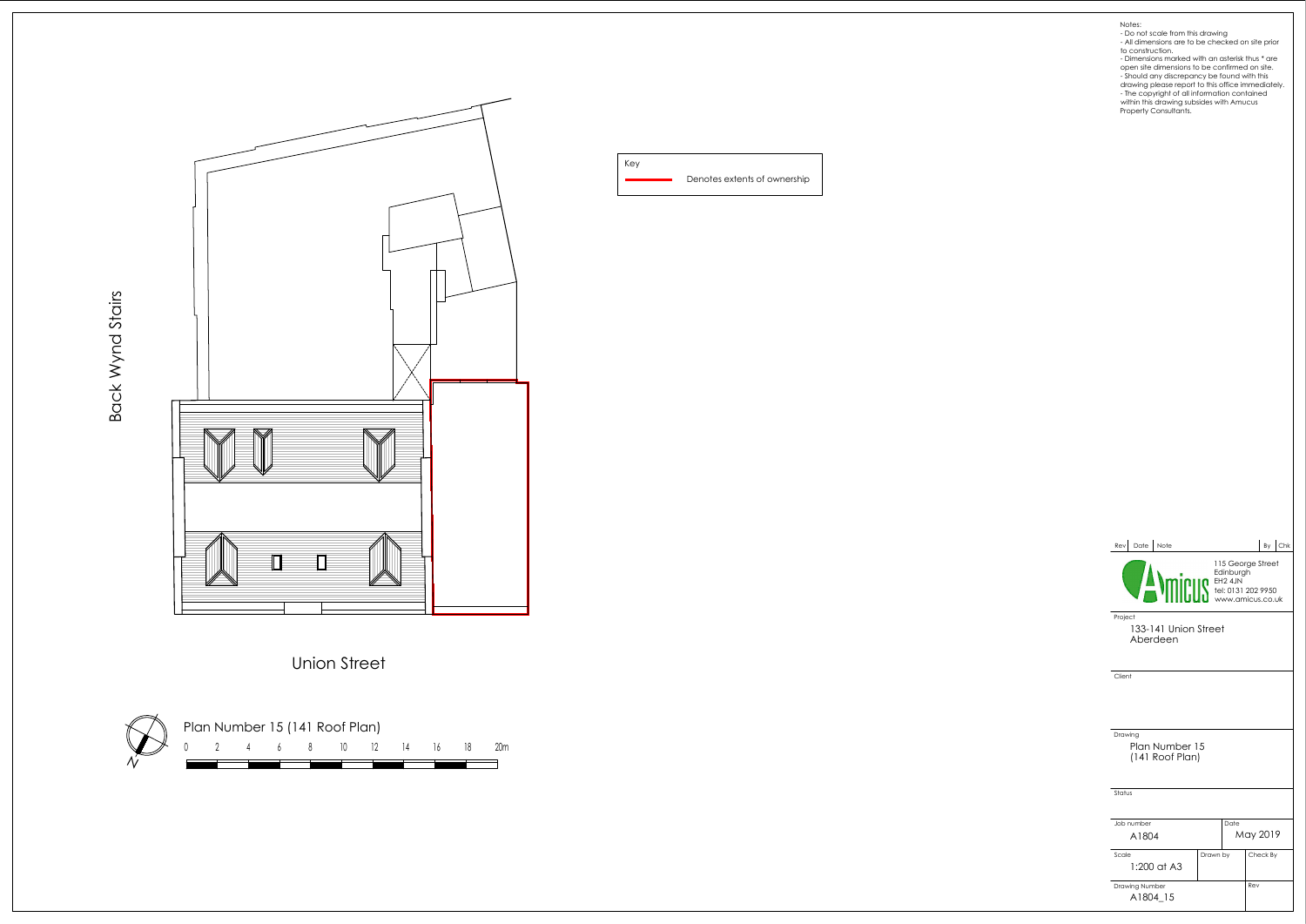Denotes extents of ownership Key

Union Street

Back Wynd Stairs



| Date Note<br>Rev l                                                                       |          |  |          | By | $ $ Chk |  |
|------------------------------------------------------------------------------------------|----------|--|----------|----|---------|--|
| 115 George Street<br>Edinburg<br>(1997) Tel: 24JN<br>Www.amicus.co.u<br>www.amicus.co.uk |          |  |          |    |         |  |
| Project<br>133-141 Union Street<br>Aberdeen                                              |          |  |          |    |         |  |
| Client                                                                                   |          |  |          |    |         |  |
|                                                                                          |          |  |          |    |         |  |
|                                                                                          |          |  |          |    |         |  |
| Drawing                                                                                  |          |  |          |    |         |  |
| Plan Number 15<br>(141 Roof Plan)                                                        |          |  |          |    |         |  |
|                                                                                          |          |  |          |    |         |  |
| Status                                                                                   |          |  |          |    |         |  |
|                                                                                          |          |  |          |    |         |  |
| Job number                                                                               | Date     |  |          |    |         |  |
| A1804                                                                                    |          |  | May 2019 |    |         |  |
| Scale                                                                                    | Drawn by |  | Check By |    |         |  |
| $1:200$ at A3                                                                            |          |  |          |    |         |  |
| Drawing Number                                                                           |          |  | Rev      |    |         |  |
| A1804 15                                                                                 |          |  |          |    |         |  |
|                                                                                          |          |  |          |    |         |  |



- 
- Notes:<br>
 Do not scale from this drawing<br>
 All dimensions are to be checked on site prior<br>
 do construction.<br>
 Dimensions marked with an asterisk thus \* are<br>
open site dimensions to be confirmed on site.<br>
 Should any d